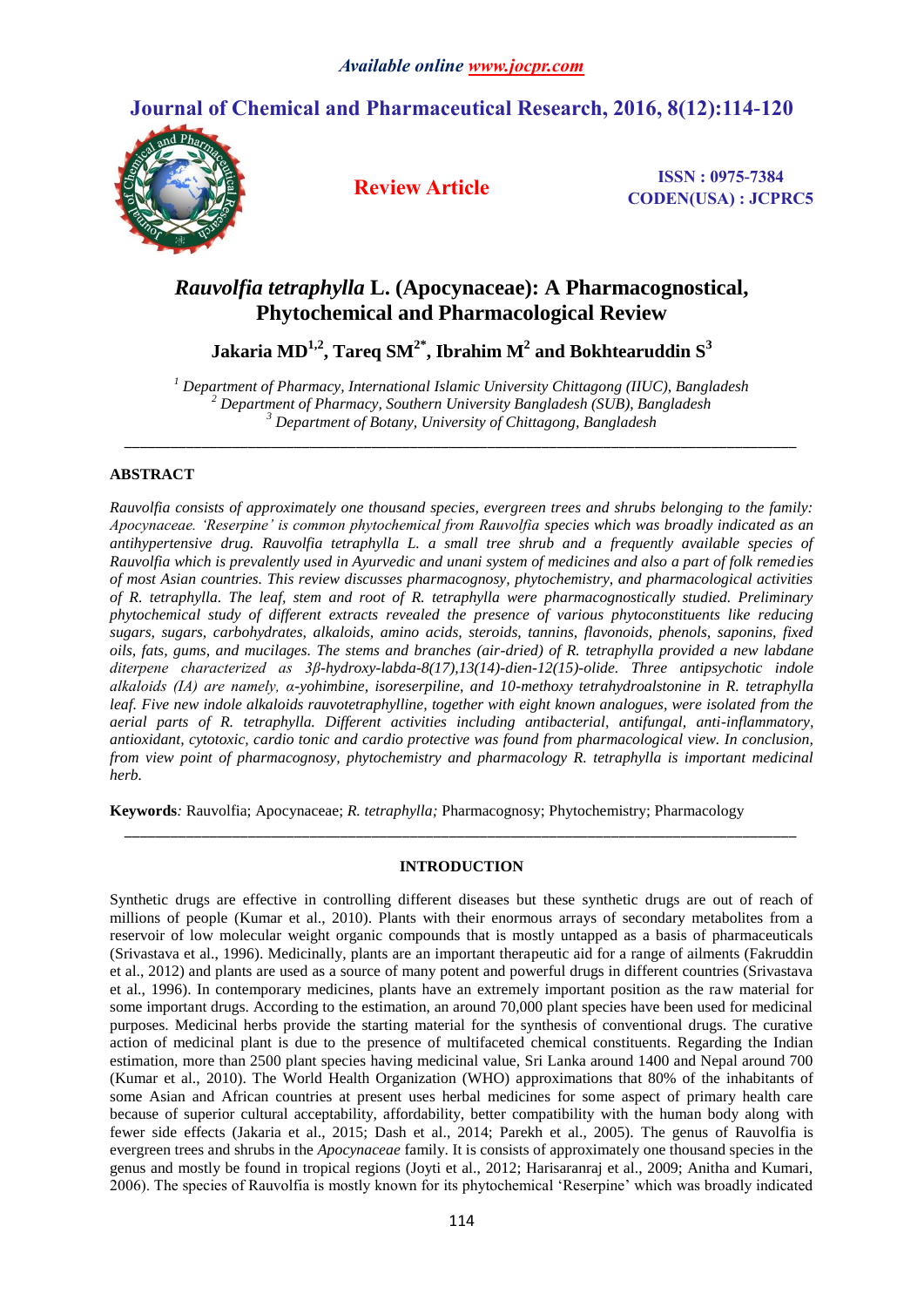# **Journal of Chemical and Pharmaceutical Research, 2016, 8(12):114-120**



**Review Article ISSN : 0975-7384 CODEN(USA) : JCPRC5**

## *Rauvolfia tetraphylla* **L. (Apocynaceae): A Pharmacognostical, Phytochemical and Pharmacological Review**

 $\mathbf{J}$ akaria MD $^{1,2}$ , Tareq SM $^{2^*}$ , Ibrahim M $^2$  and Bokhtearuddin  $\mathrm{S}^3$ 

*<sup>1</sup> Department of Pharmacy, International Islamic University Chittagong (IIUC), Bangladesh <sup>2</sup> Department of Pharmacy, Southern University Bangladesh (SUB), Bangladesh <sup>3</sup> Department of Botany, University of Chittagong, Bangladesh*

*\_\_\_\_\_\_\_\_\_\_\_\_\_\_\_\_\_\_\_\_\_\_\_\_\_\_\_\_\_\_\_\_\_\_\_\_\_\_\_\_\_\_\_\_\_\_\_\_\_\_\_\_\_\_\_\_\_\_\_\_\_\_\_\_\_\_\_\_\_\_\_\_\_\_\_\_\_\_\_\_\_\_\_\_\_\_\_*

## **ABSTRACT**

*Rauvolfia consists of approximately one thousand species, evergreen trees and shrubs belonging to the family: Apocynaceae. 'Reserpine' is common phytochemical from Rauvolfia species which was broadly indicated as an antihypertensive drug. Rauvolfia tetraphylla L. a small tree shrub and a frequently available species of Rauvolfia which is prevalently used in Ayurvedic and unani system of medicines and also a part of folk remedies of most Asian countries. This review discusses pharmacognosy, phytochemistry, and pharmacological activities of R. tetraphylla. The leaf, stem and root of R. tetraphylla were pharmacognostically studied. Preliminary phytochemical study of different extracts revealed the presence of various phytoconstituents like reducing sugars, sugars, carbohydrates, alkaloids, amino acids, steroids, tannins, flavonoids, phenols, saponins, fixed oils, fats, gums, and mucilages. The stems and branches (air-dried) of R. tetraphylla provided a new labdane diterpene characterized as 3β-hydroxy-labda-8(17),13(14)-dien-12(15)-olide. Three antipsychotic indole alkaloids (IA) are namely, α-yohimbine, isoreserpiline, and 10-methoxy tetrahydroalstonine in R. tetraphylla leaf. Five new indole alkaloids rauvotetraphylline, together with eight known analogues, were isolated from the aerial parts of R. tetraphylla. Different activities including antibacterial, antifungal, anti-inflammatory, antioxidant, cytotoxic, cardio tonic and cardio protective was found from pharmacological view. In conclusion, from view point of pharmacognosy, phytochemistry and pharmacology R. tetraphylla is important medicinal herb.*

**Keywords***:* Rauvolfia; Apocynaceae; *R. tetraphylla;* Pharmacognosy; Phytochemistry; Pharmacology

### **INTRODUCTION**

*\_\_\_\_\_\_\_\_\_\_\_\_\_\_\_\_\_\_\_\_\_\_\_\_\_\_\_\_\_\_\_\_\_\_\_\_\_\_\_\_\_\_\_\_\_\_\_\_\_\_\_\_\_\_\_\_\_\_\_\_\_\_\_\_\_\_\_\_\_\_\_\_\_\_\_\_\_\_\_\_\_\_\_\_\_\_\_*

Synthetic drugs are effective in controlling different diseases but these synthetic drugs are out of reach of millions of people (Kumar et al., 2010). Plants with their enormous arrays of secondary metabolites from a reservoir of low molecular weight organic compounds that is mostly untapped as a basis of pharmaceuticals (Srivastava et al., 1996). Medicinally, plants are an important therapeutic aid for a range of ailments (Fakruddin et al., 2012) and plants are used as a source of many potent and powerful drugs in different countries (Srivastava et al., 1996). In contemporary medicines, plants have an extremely important position as the raw material for some important drugs. According to the estimation, an around 70,000 plant species have been used for medicinal purposes. Medicinal herbs provide the starting material for the synthesis of conventional drugs. The curative action of medicinal plant is due to the presence of multifaceted chemical constituents. Regarding the Indian estimation, more than 2500 plant species having medicinal value, Sri Lanka around 1400 and Nepal around 700 (Kumar et al., 2010). The World Health Organization (WHO) approximations that 80% of the inhabitants of some Asian and African countries at present uses herbal medicines for some aspect of primary health care because of superior cultural acceptability, affordability, better compatibility with the human body along with fewer side effects (Jakaria et al., 2015; Dash et al., 2014; Parekh et al., 2005). The genus of Rauvolfia is evergreen trees and shrubs in the *Apocynaceae* family. It is consists of approximately one thousand species in the genus and mostly be found in tropical regions (Joyti et al., 2012; Harisaranraj et al., 2009; Anitha and Kumari, 2006). The species of Rauvolfia is mostly known for its phytochemical 'Reserpine' which was broadly indicated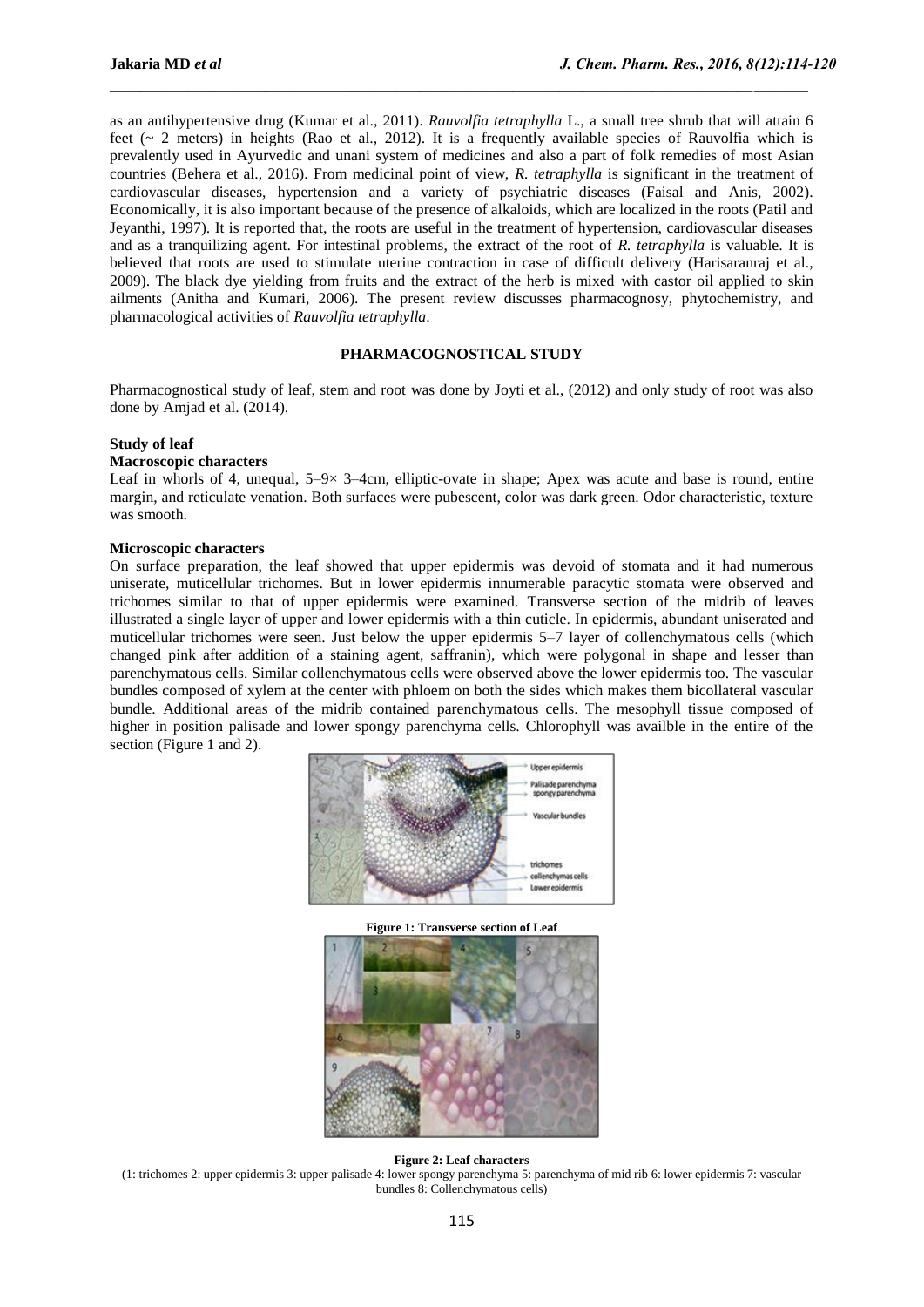as an antihypertensive drug (Kumar et al., 2011). *Rauvolfia tetraphylla* L., a small tree shrub that will attain 6 feet (~ 2 meters) in heights (Rao et al., 2012). It is a frequently available species of Rauvolfia which is prevalently used in Ayurvedic and unani system of medicines and also a part of folk remedies of most Asian countries (Behera et al., 2016). From medicinal point of view, *R. tetraphylla* is significant in the treatment of cardiovascular diseases, hypertension and a variety of psychiatric diseases (Faisal and Anis, 2002). Economically, it is also important because of the presence of alkaloids, which are localized in the roots (Patil and Jeyanthi, 1997). It is reported that, the roots are useful in the treatment of hypertension, cardiovascular diseases and as a tranquilizing agent. For intestinal problems, the extract of the root of *R. tetraphylla* is valuable. It is believed that roots are used to stimulate uterine contraction in case of difficult delivery (Harisaranraj et al., 2009). The black dye yielding from fruits and the extract of the herb is mixed with castor oil applied to skin ailments (Anitha and Kumari, 2006). The present review discusses pharmacognosy, phytochemistry, and pharmacological activities of *Rauvolfia tetraphylla*.

 $\_$  , and the state of the state of the state of the state of the state of the state of the state of the state of the state of the state of the state of the state of the state of the state of the state of the state of the

### **PHARMACOGNOSTICAL STUDY**

Pharmacognostical study of leaf, stem and root was done by Joyti et al., (2012) and only study of root was also done by Amjad et al. (2014).

#### **Study of leaf**

#### **Macroscopic characters**

Leaf in whorls of 4, unequal,  $5-9\times 3-4$ cm, elliptic-ovate in shape; Apex was acute and base is round, entire margin, and reticulate venation. Both surfaces were pubescent, color was dark green. Odor characteristic, texture was smooth.

#### **Microscopic characters**

On surface preparation, the leaf showed that upper epidermis was devoid of stomata and it had numerous uniserate, muticellular trichomes. But in lower epidermis innumerable paracytic stomata were observed and trichomes similar to that of upper epidermis were examined. Transverse section of the midrib of leaves illustrated a single layer of upper and lower epidermis with a thin cuticle. In epidermis, abundant uniserated and muticellular trichomes were seen. Just below the upper epidermis 5–7 layer of collenchymatous cells (which changed pink after addition of a staining agent, saffranin), which were polygonal in shape and lesser than parenchymatous cells. Similar collenchymatous cells were observed above the lower epidermis too. The vascular bundles composed of xylem at the center with phloem on both the sides which makes them bicollateral vascular bundle. Additional areas of the midrib contained parenchymatous cells. The mesophyll tissue composed of higher in position palisade and lower spongy parenchyma cells. Chlorophyll was availble in the entire of the section (Figure 1 and 2).



**Figure 1: Transverse section of Leaf**



#### **Figure 2: Leaf characters**

(1: trichomes 2: upper epidermis 3: upper palisade 4: lower spongy parenchyma 5: parenchyma of mid rib 6: lower epidermis 7: vascular bundles 8: Collenchymatous cells)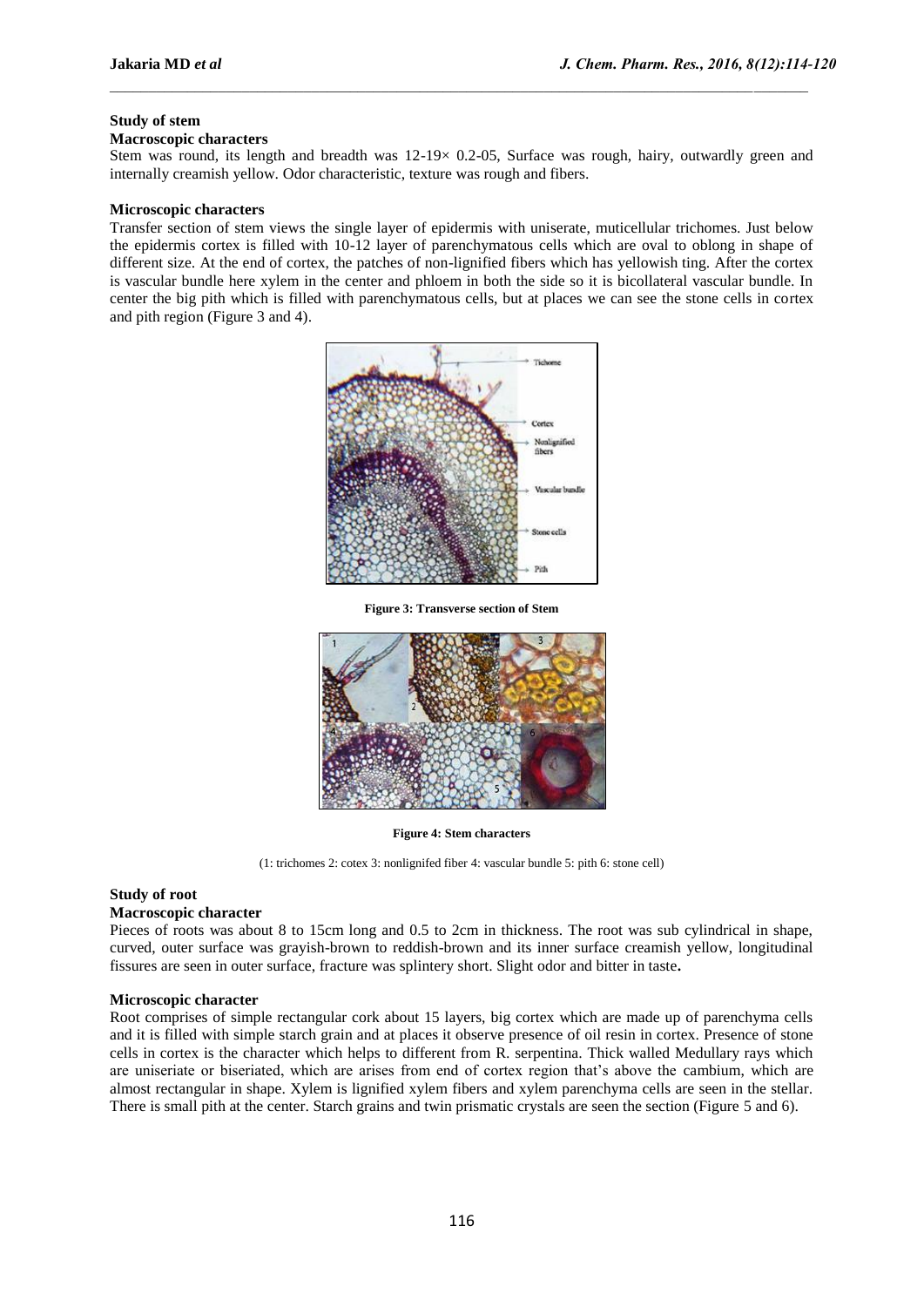### **Study of stem**

#### **Macroscopic characters**

Stem was round, its length and breadth was  $12{\text -}19\times 0.2{\text -}05$ , Surface was rough, hairy, outwardly green and internally creamish yellow. Odor characteristic, texture was rough and fibers.

 $\_$  , and the state of the state of the state of the state of the state of the state of the state of the state of the state of the state of the state of the state of the state of the state of the state of the state of the

#### **Microscopic characters**

Transfer section of stem views the single layer of epidermis with uniserate, muticellular trichomes. Just below the epidermis cortex is filled with 10-12 layer of parenchymatous cells which are oval to oblong in shape of different size. At the end of cortex, the patches of non-lignified fibers which has yellowish ting. After the cortex is vascular bundle here xylem in the center and phloem in both the side so it is bicollateral vascular bundle. In center the big pith which is filled with parenchymatous cells, but at places we can see the stone cells in cortex and pith region (Figure 3 and 4).



**Figure 3: Transverse section of Stem**



**Figure 4: Stem characters** 

(1: trichomes 2: cotex 3: nonlignifed fiber 4: vascular bundle 5: pith 6: stone cell)

## **Study of root**

### **Macroscopic character**

Pieces of roots was about 8 to 15cm long and 0.5 to 2cm in thickness. The root was sub cylindrical in shape, curved, outer surface was grayish-brown to reddish-brown and its inner surface creamish yellow, longitudinal fissures are seen in outer surface, fracture was splintery short. Slight odor and bitter in taste**.**

#### **Microscopic character**

Root comprises of simple rectangular cork about 15 layers, big cortex which are made up of parenchyma cells and it is filled with simple starch grain and at places it observe presence of oil resin in cortex. Presence of stone cells in cortex is the character which helps to different from R. serpentina. Thick walled Medullary rays which are uniseriate or biseriated, which are arises from end of cortex region that's above the cambium, which are almost rectangular in shape. Xylem is lignified xylem fibers and xylem parenchyma cells are seen in the stellar. There is small pith at the center. Starch grains and twin prismatic crystals are seen the section (Figure 5 and 6).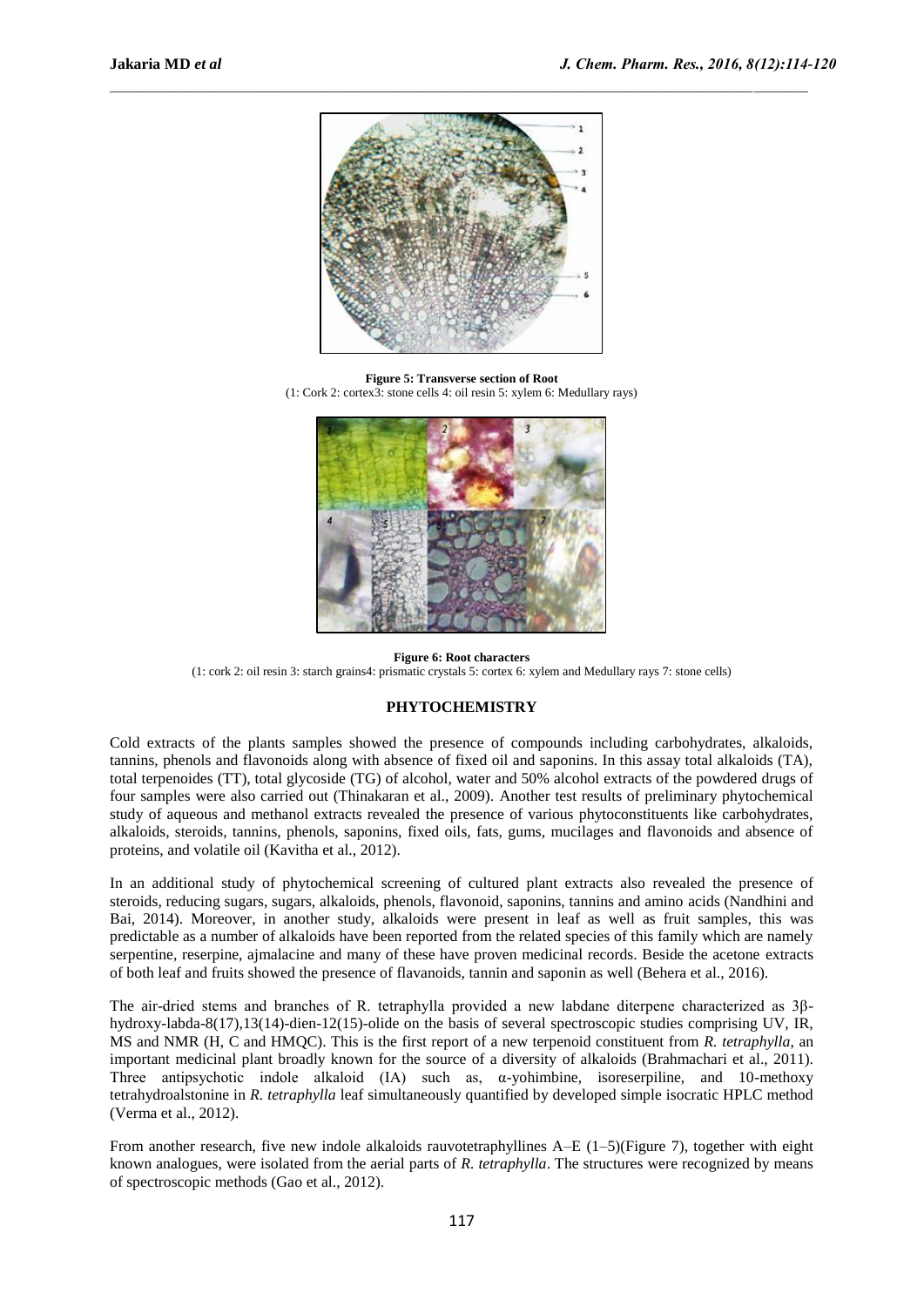

 $\_$  , and the state of the state of the state of the state of the state of the state of the state of the state of the state of the state of the state of the state of the state of the state of the state of the state of the

**Figure 5: Transverse section of Root**  (1: Cork 2: cortex3: stone cells 4: oil resin 5: xylem 6: Medullary rays)



**Figure 6: Root characters** (1: cork 2: oil resin 3: starch grains4: prismatic crystals 5: cortex 6: xylem and Medullary rays 7: stone cells)

### **PHYTOCHEMISTRY**

Cold extracts of the plants samples showed the presence of compounds including carbohydrates, alkaloids, tannins, phenols and flavonoids along with absence of fixed oil and saponins. In this assay total alkaloids (TA), total terpenoides (TT), total glycoside (TG) of alcohol, water and 50% alcohol extracts of the powdered drugs of four samples were also carried out (Thinakaran et al., 2009). Another test results of preliminary phytochemical study of aqueous and methanol extracts revealed the presence of various phytoconstituents like carbohydrates, alkaloids, steroids, tannins, phenols, saponins, fixed oils, fats, gums, mucilages and flavonoids and absence of proteins, and volatile oil (Kavitha et al., 2012).

In an additional study of phytochemical screening of cultured plant extracts also revealed the presence of steroids, reducing sugars, sugars, alkaloids, phenols, flavonoid, saponins, tannins and amino acids (Nandhini and Bai, 2014). Moreover, in another study, alkaloids were present in leaf as well as fruit samples, this was predictable as a number of alkaloids have been reported from the related species of this family which are namely serpentine, reserpine, ajmalacine and many of these have proven medicinal records. Beside the acetone extracts of both leaf and fruits showed the presence of flavanoids, tannin and saponin as well (Behera et al., 2016).

The air-dried stems and branches of R. tetraphylla provided a new labdane diterpene characterized as 3βhydroxy-labda-8(17),13(14)-dien-12(15)-olide on the basis of several spectroscopic studies comprising UV, IR, MS and NMR (H, C and HMQC). This is the first report of a new terpenoid constituent from *R. tetraphylla*, an important medicinal plant broadly known for the source of a diversity of alkaloids (Brahmachari et al., 2011). Three antipsychotic indole alkaloid  $(IA)$  such as,  $\alpha$ -yohimbine, isoreserpiline, and 10-methoxy tetrahydroalstonine in *R. tetraphylla* leaf simultaneously quantified by developed simple isocratic HPLC method (Verma et al., 2012).

From another research, five new indole alkaloids rauvotetraphyllines A–E (1–5)(Figure 7), together with eight known analogues, were isolated from the aerial parts of *R. tetraphylla*. The structures were recognized by means of spectroscopic methods (Gao et al., 2012).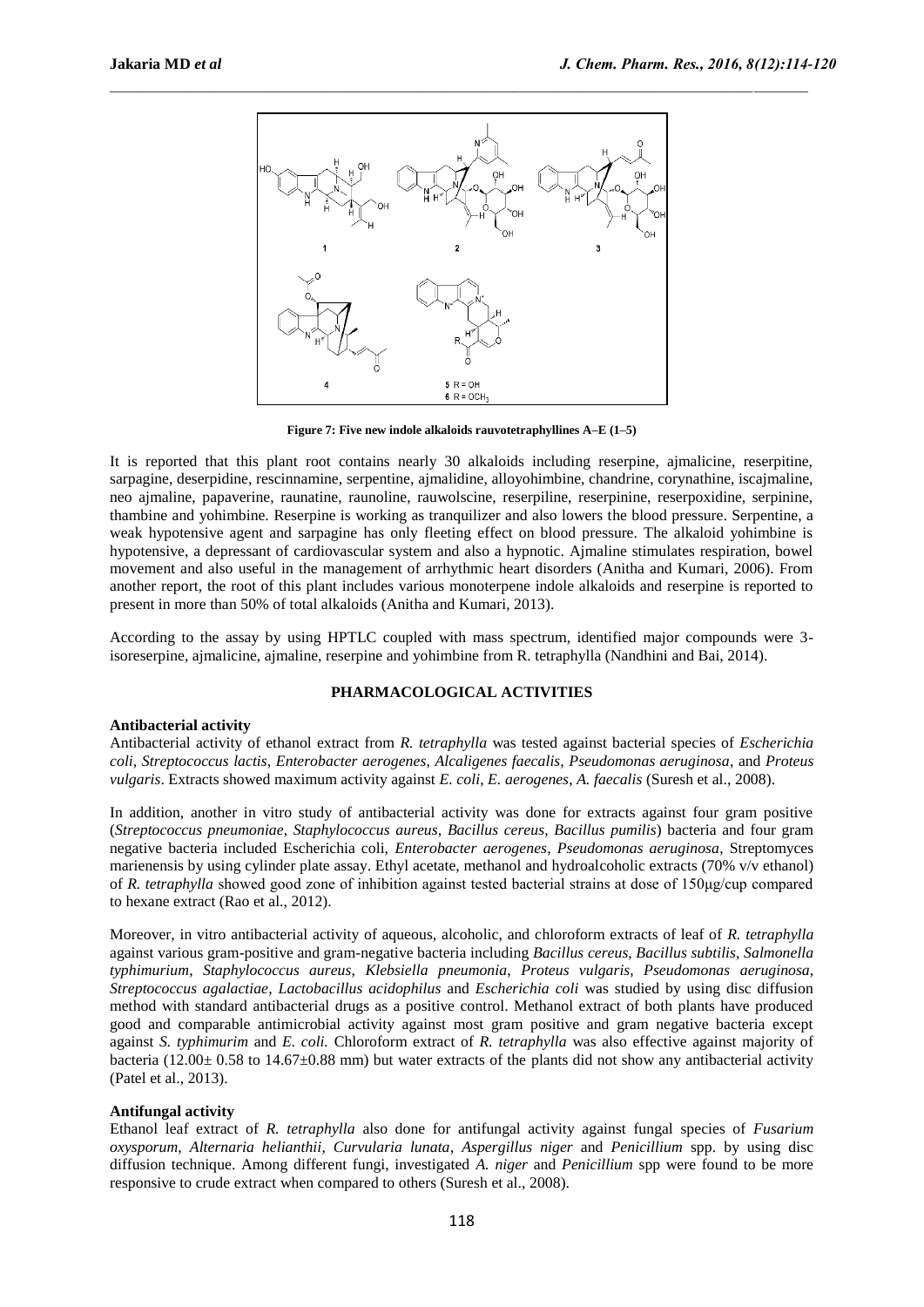

**Figure 7: Five new indole alkaloids rauvotetraphyllines A–E (1–5)**

It is reported that this plant root contains nearly 30 alkaloids including reserpine, ajmalicine, reserpitine, sarpagine, deserpidine, rescinnamine, serpentine, ajmalidine, alloyohimbine, chandrine, corynathine, iscajmaline, neo ajmaline, papaverine, raunatine, raunoline, rauwolscine, reserpiline, reserpinine, reserpoxidine, serpinine, thambine and yohimbine. Reserpine is working as tranquilizer and also lowers the blood pressure. Serpentine, a weak hypotensive agent and sarpagine has only fleeting effect on blood pressure. The alkaloid yohimbine is hypotensive, a depressant of cardiovascular system and also a hypnotic. Ajmaline stimulates respiration, bowel movement and also useful in the management of arrhythmic heart disorders (Anitha and Kumari, 2006). From another report, the root of this plant includes various monoterpene indole alkaloids and reserpine is reported to present in more than 50% of total alkaloids (Anitha and Kumari, 2013).

According to the assay by using HPTLC coupled with mass spectrum, identified major compounds were 3 isoreserpine, ajmalicine, ajmaline, reserpine and yohimbine from R. tetraphylla (Nandhini and Bai, 2014).

### **PHARMACOLOGICAL ACTIVITIES**

#### **Antibacterial activity**

Antibacterial activity of ethanol extract from *R. tetraphylla* was tested against bacterial species of *Escherichia coli*, *Streptococcus lactis*, *Enterobacter aerogenes*, *Alcaligenes faecalis*, *Pseudomonas aeruginosa*, and *Proteus vulgaris*. Extracts showed maximum activity against *E. coli*, *E. aerogenes*, *A. faecalis* (Suresh et al., 2008).

In addition, another in vitro study of antibacterial activity was done for extracts against four gram positive (*Streptococcus pneumoniae*, *Staphylococcus aureus*, *Bacillus cereus*, *Bacillus pumilis*) bacteria and four gram negative bacteria included Escherichia coli, *Enterobacter aerogenes*, *Pseudomonas aeruginosa*, Streptomyces marienensis by using cylinder plate assay. Ethyl acetate, methanol and hydroalcoholic extracts (70% v/v ethanol) of *R. tetraphylla* showed good zone of inhibition against tested bacterial strains at dose of 150μg/cup compared to hexane extract (Rao et al., 2012).

Moreover, in vitro antibacterial activity of aqueous, alcoholic, and chloroform extracts of leaf of *R. tetraphylla* against various gram-positive and gram-negative bacteria including *Bacillus cereus*, *Bacillus subtilis*, *Salmonella typhimurium*, *Staphylococcus aureus*, *Klebsiella pneumonia*, *Proteus vulgaris*, *Pseudomonas aeruginosa*, *Streptococcus agalactiae*, *Lactobacillus acidophilus* and *Escherichia coli* was studied by using disc diffusion method with standard antibacterial drugs as a positive control. Methanol extract of both plants have produced good and comparable antimicrobial activity against most gram positive and gram negative bacteria except against *S. typhimurim* and *E. coli.* Chloroform extract of *R. tetraphylla* was also effective against majority of bacteria (12.00 $\pm$  0.58 to 14.67 $\pm$ 0.88 mm) but water extracts of the plants did not show any antibacterial activity (Patel et al., 2013).

#### **Antifungal activity**

Ethanol leaf extract of *R. tetraphylla* also done for antifungal activity against fungal species of *Fusarium oxysporum*, *Alternaria helianthii*, *Curvularia lunata*, *Aspergillus niger* and *Penicillium* spp. by using disc diffusion technique. Among different fungi, investigated *A. niger* and *Penicillium* spp were found to be more responsive to crude extract when compared to others (Suresh et al., 2008).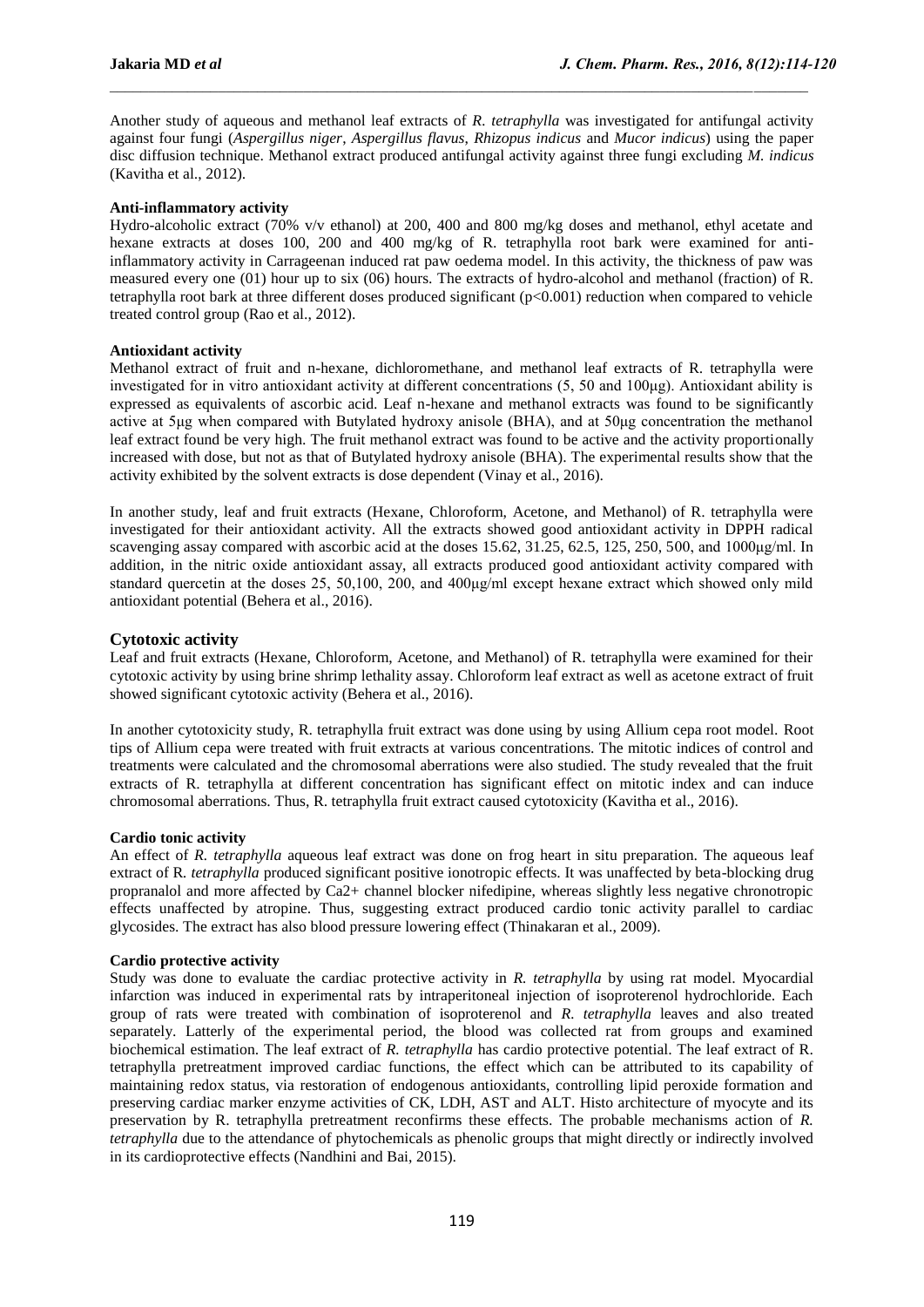Another study of aqueous and methanol leaf extracts of *R. tetraphylla* was investigated for antifungal activity against four fungi (*Aspergillus niger*, *Aspergillus flavus*, *Rhizopus indicus* and *Mucor indicus*) using the paper disc diffusion technique. Methanol extract produced antifungal activity against three fungi excluding *M. indicus* (Kavitha et al., 2012).

 $\_$  , and the state of the state of the state of the state of the state of the state of the state of the state of the state of the state of the state of the state of the state of the state of the state of the state of the

### **Anti-inflammatory activity**

Hydro-alcoholic extract (70% v/v ethanol) at 200, 400 and 800 mg/kg doses and methanol, ethyl acetate and hexane extracts at doses 100, 200 and 400 mg/kg of R. tetraphylla root bark were examined for antiinflammatory activity in Carrageenan induced rat paw oedema model. In this activity, the thickness of paw was measured every one (01) hour up to six (06) hours. The extracts of hydro-alcohol and methanol (fraction) of R. tetraphylla root bark at three different doses produced significant (p<0.001) reduction when compared to vehicle treated control group (Rao et al., 2012).

#### **Antioxidant activity**

Methanol extract of fruit and n-hexane, dichloromethane, and methanol leaf extracts of R. tetraphylla were investigated for in vitro antioxidant activity at different concentrations (5, 50 and 100μg). Antioxidant ability is expressed as equivalents of ascorbic acid. Leaf n-hexane and methanol extracts was found to be significantly active at 5μg when compared with Butylated hydroxy anisole (BHA), and at 50μg concentration the methanol leaf extract found be very high. The fruit methanol extract was found to be active and the activity proportionally increased with dose, but not as that of Butylated hydroxy anisole (BHA). The experimental results show that the activity exhibited by the solvent extracts is dose dependent (Vinay et al., 2016).

In another study, leaf and fruit extracts (Hexane, Chloroform, Acetone, and Methanol) of R. tetraphylla were investigated for their antioxidant activity. All the extracts showed good antioxidant activity in DPPH radical scavenging assay compared with ascorbic acid at the doses 15.62, 31.25, 62.5, 125, 250, 500, and 1000μg/ml. In addition, in the nitric oxide antioxidant assay, all extracts produced good antioxidant activity compared with standard quercetin at the doses 25, 50,100, 200, and 400μg/ml except hexane extract which showed only mild antioxidant potential (Behera et al., 2016).

### **Cytotoxic activity**

Leaf and fruit extracts (Hexane, Chloroform, Acetone, and Methanol) of R. tetraphylla were examined for their cytotoxic activity by using brine shrimp lethality assay. Chloroform leaf extract as well as acetone extract of fruit showed significant cytotoxic activity (Behera et al., 2016).

In another cytotoxicity study, R. tetraphylla fruit extract was done using by using Allium cepa root model. Root tips of Allium cepa were treated with fruit extracts at various concentrations. The mitotic indices of control and treatments were calculated and the chromosomal aberrations were also studied. The study revealed that the fruit extracts of R. tetraphylla at different concentration has significant effect on mitotic index and can induce chromosomal aberrations. Thus, R. tetraphylla fruit extract caused cytotoxicity (Kavitha et al., 2016).

### **Cardio tonic activity**

An effect of *R. tetraphylla* aqueous leaf extract was done on frog heart in situ preparation. The aqueous leaf extract of R*. tetraphylla* produced significant positive ionotropic effects. It was unaffected by beta-blocking drug propranalol and more affected by Ca2+ channel blocker nifedipine, whereas slightly less negative chronotropic effects unaffected by atropine. Thus, suggesting extract produced cardio tonic activity parallel to cardiac glycosides. The extract has also blood pressure lowering effect (Thinakaran et al., 2009).

### **Cardio protective activity**

Study was done to evaluate the cardiac protective activity in *R. tetraphylla* by using rat model. Myocardial infarction was induced in experimental rats by intraperitoneal injection of isoproterenol hydrochloride. Each group of rats were treated with combination of isoproterenol and *R. tetraphylla* leaves and also treated separately. Latterly of the experimental period, the blood was collected rat from groups and examined biochemical estimation. The leaf extract of *R. tetraphylla* has cardio protective potential. The leaf extract of R. tetraphylla pretreatment improved cardiac functions, the effect which can be attributed to its capability of maintaining redox status, via restoration of endogenous antioxidants, controlling lipid peroxide formation and preserving cardiac marker enzyme activities of CK, LDH, AST and ALT. Histo architecture of myocyte and its preservation by R. tetraphylla pretreatment reconfirms these effects. The probable mechanisms action of *R. tetraphylla* due to the attendance of phytochemicals as phenolic groups that might directly or indirectly involved in its cardioprotective effects (Nandhini and Bai, 2015).